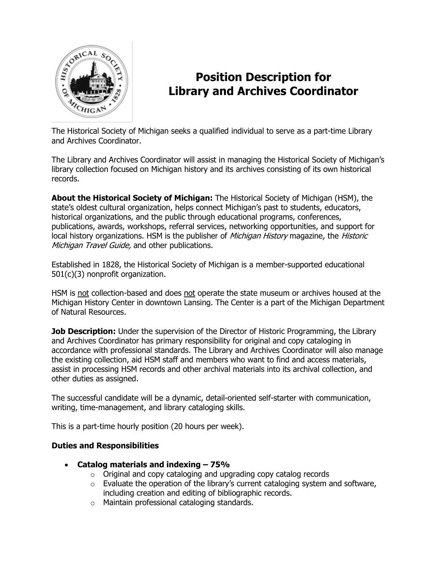

# **Position Description for Library and Archives Coordinator**

The Historical Society of Michigan seeks a qualified individual to serve as a part-time Library and Archives Coordinator.

The Library and Archives Coordinator will assist in managing the Historical Society of Michigan's library collection focused on Michigan history and its archives consisting of its own historical records.

**About the Historical Society of Michigan:** The Historical Society of Michigan (HSM), the state's oldest cultural organization, helps connect Michigan's past to students, educators, historical organizations, and the public through educational programs, conferences, publications, awards, workshops, referral services, networking opportunities, and support for local history organizations. HSM is the publisher of *Michigan History* magazine, the *Historic* Michigan Travel Guide, and other publications.

Established in 1828, the Historical Society of Michigan is a member-supported educational 501(c)(3) nonprofit organization.

HSM is not collection-based and does not operate the state museum or archives housed at the Michigan History Center in downtown Lansing. The Center is a part of the Michigan Department of Natural Resources.

**Job Description:** Under the supervision of the Director of Historic Programming, the Library and Archives Coordinator has primary responsibility for original and copy cataloging in accordance with professional standards. The Library and Archives Coordinator will also manage the existing collection, aid HSM staff and members who want to find and access materials, assist in processing HSM records and other archival materials into its archival collection, and other duties as assigned.

The successful candidate will be a dynamic, detail-oriented self-starter with communication, writing, time-management, and library cataloging skills.

This is a part-time hourly position (20 hours per week).

## **Duties and Responsibilities**

- **Catalog materials and indexing – 75%**
	- o Original and copy cataloging and upgrading copy catalog records
	- $\circ$  Evaluate the operation of the library's current cataloging system and software, including creation and editing of bibliographic records.
	- o Maintain professional cataloging standards.